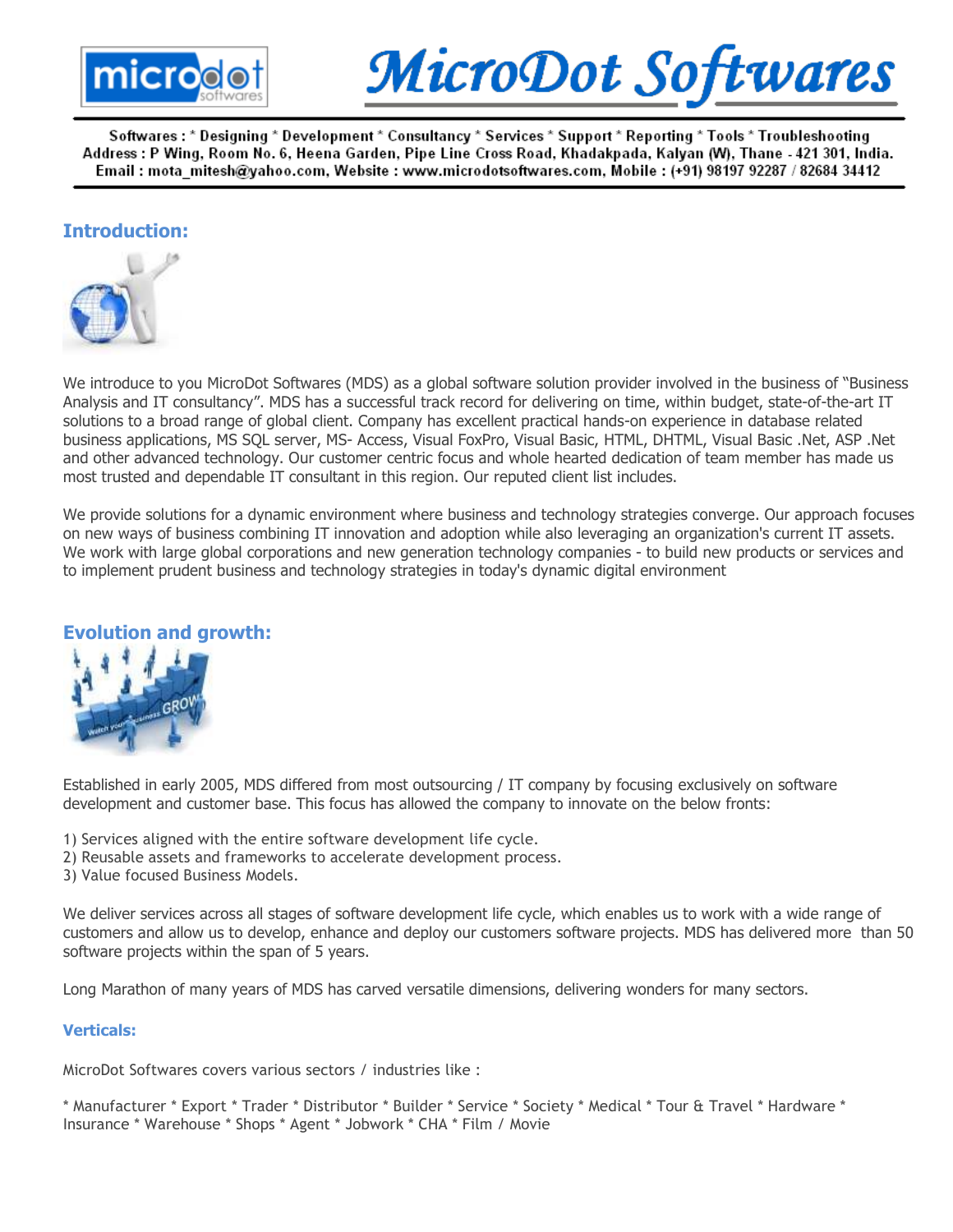



## Introduction:



We introduce to you MicroDot Softwares (MDS) as a global software solution provider involved in the business of "Business Analysis and IT consultancy". MDS has a successful track record for delivering on time, within budget, state-of-the-art IT solutions to a broad range of global client. Company has excellent practical hands-on experience in database related business applications, MS SQL server, MS- Access, Visual FoxPro, Visual Basic, HTML, DHTML, Visual Basic .Net, ASP .Net and other advanced technology. Our customer centric focus and whole hearted dedication of team member has made us most trusted and dependable IT consultant in this region. Our reputed client list includes.

We provide solutions for a dynamic environment where business and technology strategies converge. Our approach focuses on new ways of business combining IT innovation and adoption while also leveraging an organization's current IT assets. We work with large global corporations and new generation technology companies - to build new products or services and to implement prudent business and technology strategies in today's dynamic digital environment

# Evolution and growth:



Established in early 2005, MDS differed from most outsourcing / IT company by focusing exclusively on software development and customer base. This focus has allowed the company to innovate on the below fronts:

- 1) Services aligned with the entire software development life cycle.
- 2) Reusable assets and frameworks to accelerate development process.
- 3) Value focused Business Models.

We deliver services across all stages of software development life cycle, which enables us to work with a wide range of customers and allow us to develop, enhance and deploy our customers software projects. MDS has delivered more than 50 software projects within the span of 5 years.

Long Marathon of many years of MDS has carved versatile dimensions, delivering wonders for many sectors.

## Verticals:

MicroDot Softwares covers various sectors / industries like :

\* Manufacturer \* Export \* Trader \* Distributor \* Builder \* Service \* Society \* Medical \* Tour & Travel \* Hardware \* Insurance \* Warehouse \* Shops \* Agent \* Jobwork \* CHA \* Film / Movie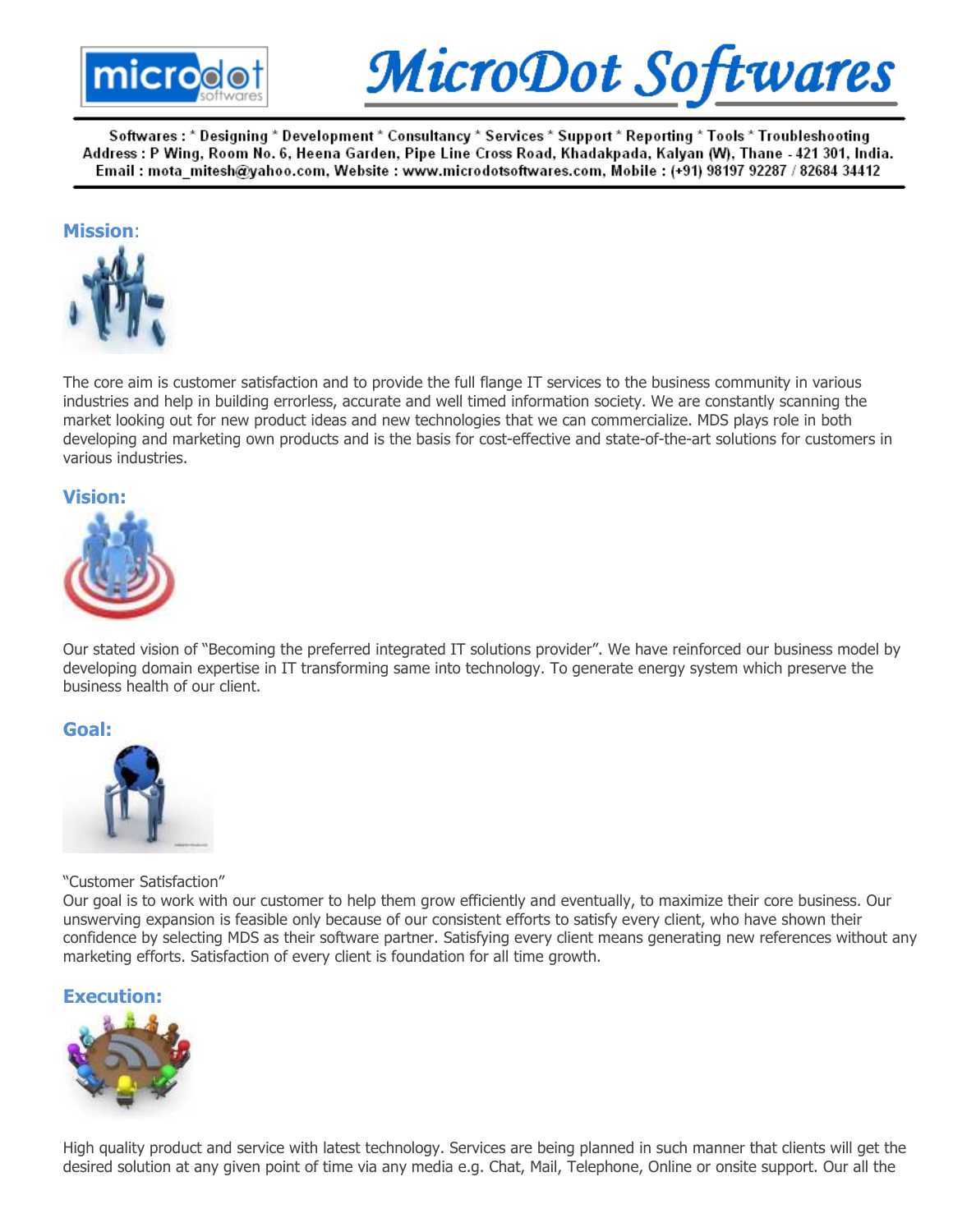



## Mission:



The core aim is customer satisfaction and to provide the full flange IT services to the business community in various industries and help in building errorless, accurate and well timed information society. We are constantly scanning the market looking out for new product ideas and new technologies that we can commercialize. MDS plays role in both developing and marketing own products and is the basis for cost-effective and state-of-the-art solutions for customers in various industries.

### Vision:



Our stated vision of "Becoming the preferred integrated IT solutions provider". We have reinforced our business model by developing domain expertise in IT transforming same into technology. To generate energy system which preserve the business health of our client.

#### Goal:



#### "Customer Satisfaction"

Our goal is to work with our customer to help them grow efficiently and eventually, to maximize their core business. Our unswerving expansion is feasible only because of our consistent efforts to satisfy every client, who have shown their confidence by selecting MDS as their software partner. Satisfying every client means generating new references without any marketing efforts. Satisfaction of every client is foundation for all time growth.

## Execution:



High quality product and service with latest technology. Services are being planned in such manner that clients will get the desired solution at any given point of time via any media e.g. Chat, Mail, Telephone, Online or onsite support. Our all the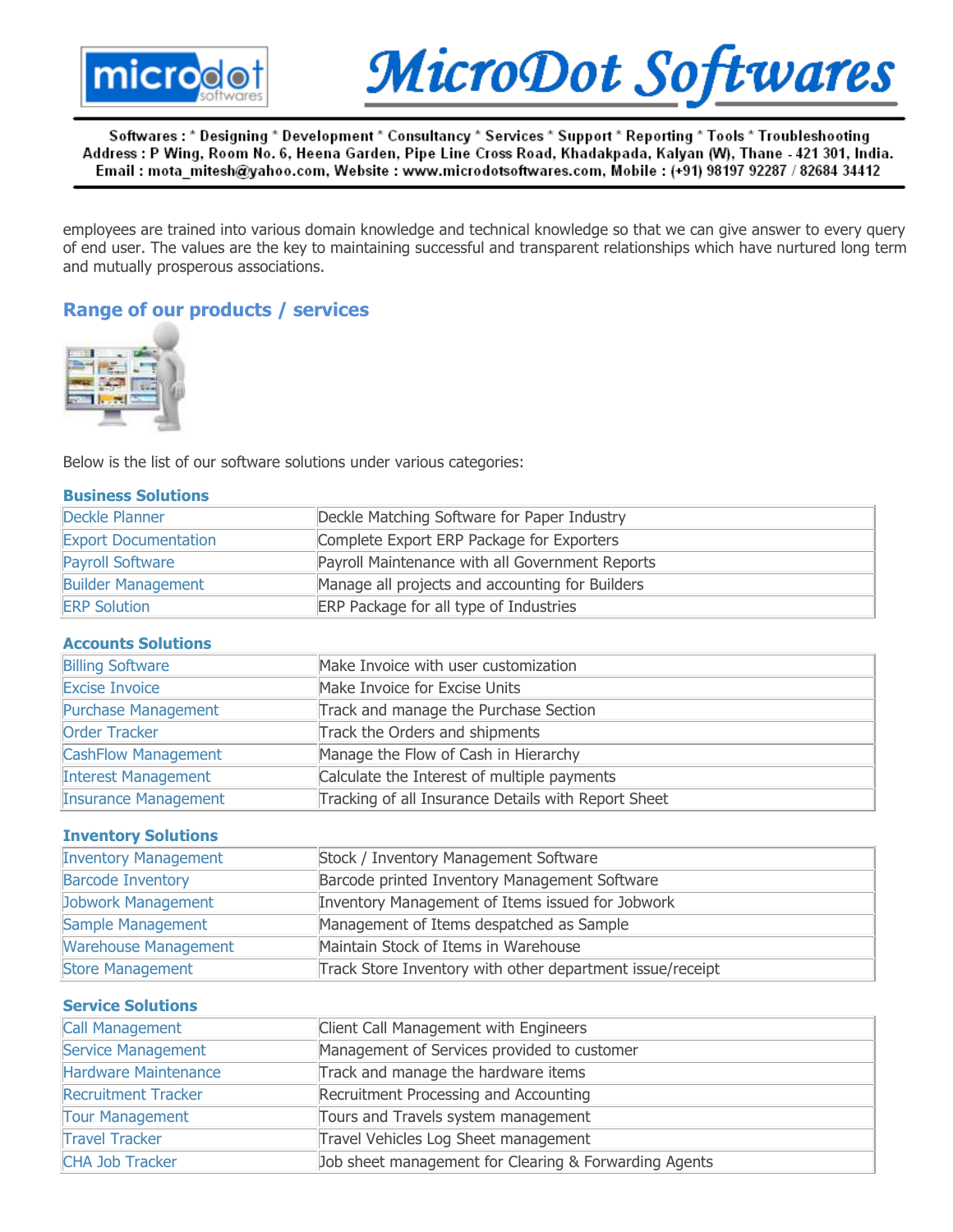



employees are trained into various domain knowledge and technical knowledge so that we can give answer to every query of end user. The values are the key to maintaining successful and transparent relationships which have nurtured long term and mutually prosperous associations.

# Range of our products / services



Below is the list of our software solutions under various categories:

| <b>Business Solutions</b>   |                                                           |  |  |  |
|-----------------------------|-----------------------------------------------------------|--|--|--|
| Deckle Planner              | Deckle Matching Software for Paper Industry               |  |  |  |
| <b>Export Documentation</b> | Complete Export ERP Package for Exporters                 |  |  |  |
| Payroll Software            | Payroll Maintenance with all Government Reports           |  |  |  |
| <b>Builder Management</b>   | Manage all projects and accounting for Builders           |  |  |  |
| <b>ERP Solution</b>         | ERP Package for all type of Industries                    |  |  |  |
| <b>Accounts Solutions</b>   |                                                           |  |  |  |
| <b>Billing Software</b>     | Make Invoice with user customization                      |  |  |  |
| <b>Excise Invoice</b>       | Make Invoice for Excise Units                             |  |  |  |
| <b>Purchase Management</b>  | Track and manage the Purchase Section                     |  |  |  |
| <b>Order Tracker</b>        | Track the Orders and shipments                            |  |  |  |
| <b>CashFlow Management</b>  | Manage the Flow of Cash in Hierarchy                      |  |  |  |
| <b>Interest Management</b>  | Calculate the Interest of multiple payments               |  |  |  |
| <b>Insurance Management</b> | Tracking of all Insurance Details with Report Sheet       |  |  |  |
| <b>Inventory Solutions</b>  |                                                           |  |  |  |
| <b>Inventory Management</b> | Stock / Inventory Management Software                     |  |  |  |
| <b>Barcode Inventory</b>    | Barcode printed Inventory Management Software             |  |  |  |
| Jobwork Management          | Inventory Management of Items issued for Jobwork          |  |  |  |
| Sample Management           | Management of Items despatched as Sample                  |  |  |  |
| <b>Warehouse Management</b> | Maintain Stock of Items in Warehouse                      |  |  |  |
| <b>Store Management</b>     | Track Store Inventory with other department issue/receipt |  |  |  |
| <b>Service Solutions</b>    |                                                           |  |  |  |
| <b>Call Management</b>      | Client Call Management with Engineers                     |  |  |  |
| Service Management          | Management of Services provided to customer               |  |  |  |
| Hardware Maintenance        | Track and manage the hardware items                       |  |  |  |
| <b>Recruitment Tracker</b>  | Recruitment Processing and Accounting                     |  |  |  |
| <b>Tour Management</b>      | Tours and Travels system management                       |  |  |  |
| <b>Travel Tracker</b>       | Travel Vehicles Log Sheet management                      |  |  |  |
| <b>CHA Job Tracker</b>      | Job sheet management for Clearing & Forwarding Agents     |  |  |  |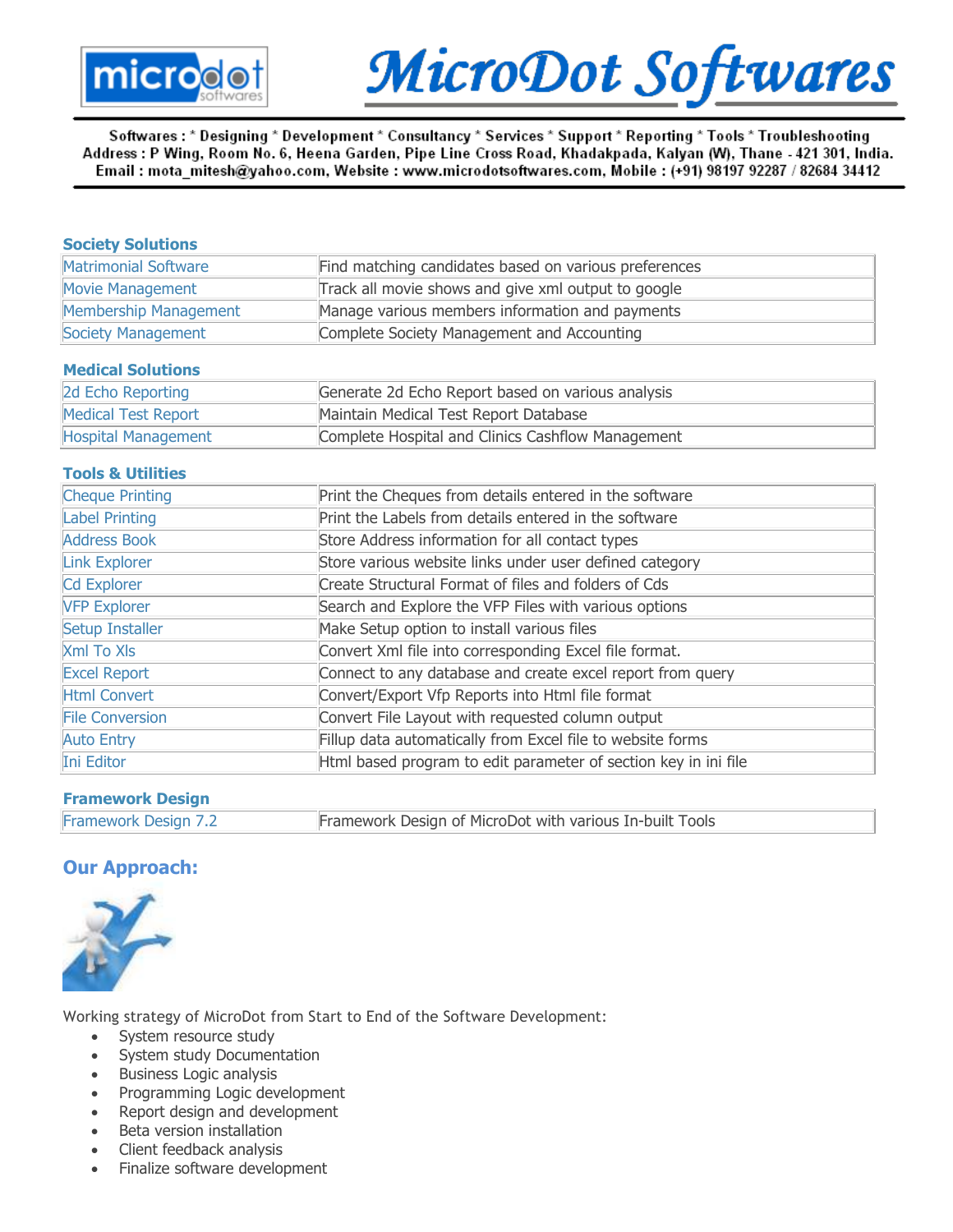

# MicroDot Softwares

Softwares : \* Designing \* Development \* Consultancy \* Services \* Support \* Reporting \* Tools \* Troubleshooting Address : P Wing, Room No. 6, Heena Garden, Pipe Line Cross Road, Khadakpada, Kalyan (W), Thane - 421 301, India. Email : mota mitesh@yahoo.com, Website : www.microdotsoftwares.com, Mobile : (+91) 98197 92287 / 82684 34412

| <b>Society Solutions</b>     |                                                                 |  |  |  |
|------------------------------|-----------------------------------------------------------------|--|--|--|
| Matrimonial Software         | Find matching candidates based on various preferences           |  |  |  |
| <b>Movie Management</b>      | Track all movie shows and give xml output to google             |  |  |  |
| Membership Management        | Manage various members information and payments                 |  |  |  |
| Society Management           | Complete Society Management and Accounting                      |  |  |  |
| <b>Medical Solutions</b>     |                                                                 |  |  |  |
| 2d Echo Reporting            | Generate 2d Echo Report based on various analysis               |  |  |  |
| Medical Test Report          | Maintain Medical Test Report Database                           |  |  |  |
| Hospital Management          | Complete Hospital and Clinics Cashflow Management               |  |  |  |
| <b>Tools &amp; Utilities</b> |                                                                 |  |  |  |
| <b>Cheque Printing</b>       | Print the Cheques from details entered in the software          |  |  |  |
| Label Printing               | Print the Labels from details entered in the software           |  |  |  |
| <b>Address Book</b>          | Store Address information for all contact types                 |  |  |  |
| Link Explorer                | Store various website links under user defined category         |  |  |  |
| Cd Explorer                  | Create Structural Format of files and folders of Cds            |  |  |  |
| <b>VFP Explorer</b>          | Search and Explore the VFP Files with various options           |  |  |  |
| Setup Installer              | Make Setup option to install various files                      |  |  |  |
| <b>Xml To XIs</b>            | Convert Xml file into corresponding Excel file format.          |  |  |  |
| <b>Excel Report</b>          | Connect to any database and create excel report from query      |  |  |  |
| <b>Html Convert</b>          | Convert/Export Vfp Reports into Html file format                |  |  |  |
| <b>File Conversion</b>       | Convert File Layout with requested column output                |  |  |  |
| <b>Auto Entry</b>            | Fillup data automatically from Excel file to website forms      |  |  |  |
| Ini Editor                   | Html based program to edit parameter of section key in ini file |  |  |  |

## Framework Design

| Framework Design 7.2 | Framework Design of MicroDot with various In-built Tools |
|----------------------|----------------------------------------------------------|
|                      |                                                          |

# Our Approach:



Working strategy of MicroDot from Start to End of the Software Development:

- System resource study
- System study Documentation
- Business Logic analysis
- Programming Logic development
- Report design and development
- Beta version installation
- Client feedback analysis
- Finalize software development